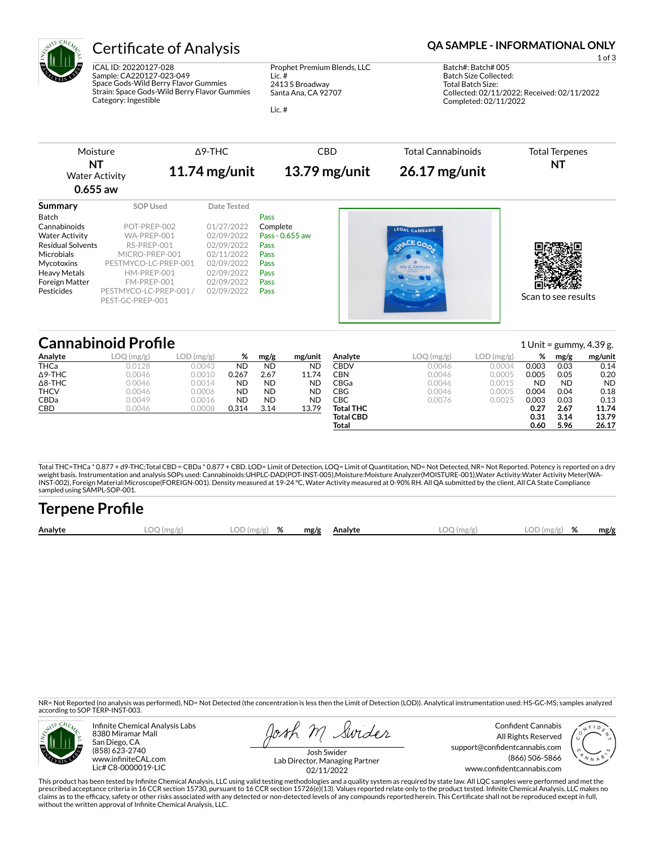

ICAL ID: 20220127-028 Sample: CA220127-023-049 Space Gods-Wild Berry Flavor Gummies Strain: Space Gods-Wild Berry Flavor Gummies Category: Ingestible

Prophet Premium Blends, LLC Lic. # 2413 S Broadway Santa Ana, CA 92707

Lic. #

## Certificate of Analysis **Certificate of Analysis QA SAMPLE - INFORMATIONAL ONLY**

1 of 3 Batch#: Batch# 005 Batch Size Collected: Total Batch Size: Collected: 02/11/2022; Received: 02/11/2022 Completed: 02/11/2022

| Moisture                                  |                        | $\triangle$ 9-THC | <b>CBD</b>      | <b>Total Cannabinoids</b> | <b>Total Terpenes</b> |
|-------------------------------------------|------------------------|-------------------|-----------------|---------------------------|-----------------------|
| NT<br><b>Water Activity</b><br>$0.655$ aw |                        | 11.74 $mg/unit$   | $13.79$ mg/unit | $26.17$ mg/unit           | NT                    |
| Summary                                   | <b>SOP Used</b>        | Date Tested       |                 |                           |                       |
| <b>Batch</b>                              |                        |                   | Pass            |                           |                       |
| Cannabinoids                              | POT-PREP-002           | 01/27/2022        | Complete        | LEGAL CANNABIS            |                       |
| <b>Water Activity</b>                     | WA-PREP-001            | 02/09/2022        | Pass - 0.655 aw |                           |                       |
| <b>Residual Solvents</b>                  | RS-PREP-001            | 02/09/2022        | Pass            |                           |                       |
| <b>Microbials</b>                         | MICRO-PREP-001         | 02/11/2022        | Pass            |                           |                       |
| Mycotoxins                                | PESTMYCO-LC-PREP-001   | 02/09/2022        | Pass            | <b>LEGAL CANNARIS</b>     |                       |
| <b>Heavy Metals</b>                       | HM-PREP-001            | 02/09/2022        | Pass            |                           |                       |
| <b>Foreign Matter</b>                     | FM-PREP-001            | 02/09/2022        | <b>Pass</b>     |                           |                       |
| Pesticides                                | PESTMYCO-LC-PREP-001 / | 02/09/2022        | Pass            |                           |                       |
|                                           | PEST-GC-PREP-001       |                   |                 |                           | Scan to see results   |

## **Cannabinoid Profile** 1 Unit = gummy, 4.39 g.

|                | ——————————————————— |               |       |           |           |                  |            |            |           |           | $\frac{1}{2}$ $\frac{1}{2}$ $\frac{1}{2}$ $\frac{1}{2}$ $\frac{1}{2}$ $\frac{1}{2}$ $\frac{1}{2}$ $\frac{1}{2}$ $\frac{1}{2}$ $\frac{1}{2}$ $\frac{1}{2}$ $\frac{1}{2}$ $\frac{1}{2}$ $\frac{1}{2}$ $\frac{1}{2}$ $\frac{1}{2}$ $\frac{1}{2}$ $\frac{1}{2}$ $\frac{1}{2}$ $\frac{1}{2}$ $\frac{1}{2}$ $\frac{1}{2}$ |
|----------------|---------------------|---------------|-------|-----------|-----------|------------------|------------|------------|-----------|-----------|---------------------------------------------------------------------------------------------------------------------------------------------------------------------------------------------------------------------------------------------------------------------------------------------------------------------|
| Analyte        | LOQ(mg/g)           | LOD<br>(mg/g) | %     | mg/g      | mg/unit   | Analyte          | LOQ (mg/g) | LOD (mg/g) | %         | mg/g      | mg/unit                                                                                                                                                                                                                                                                                                             |
| <b>THCa</b>    | 0.0128              | 0.0043        | ND    | <b>ND</b> | <b>ND</b> | CBDV             | 0.0046     | 0.0004     | 0.003     | 0.03      | 0.14                                                                                                                                                                                                                                                                                                                |
| $\Delta$ 9-THC | 0.0046              | 0.0010        | 0.267 | 2.67      | 11.74     | CBN              | 0.0046     | 0.0005     | 0.005     | 0.05      | 0.20                                                                                                                                                                                                                                                                                                                |
| $\Delta$ 8-THC | 0.0046              | 0.0014        | ND    | ND        | <b>ND</b> | CBGa             | 0.0046     | 0.0015     | <b>ND</b> | <b>ND</b> | <b>ND</b>                                                                                                                                                                                                                                                                                                           |
| <b>THCV</b>    | 0.0046              | 0.0006        | ND    | ND.       | <b>ND</b> | CBG              | 0.0046     | 0.0005     | 0.004     | 0.04      | 0.18                                                                                                                                                                                                                                                                                                                |
| CBDa           | 0.0049              | 0.0016        | ND    | ND        | <b>ND</b> | СВС              | 0.0076     | 0.0025     | 0.003     | 0.03      | 0.13                                                                                                                                                                                                                                                                                                                |
| CBD            | 0.0046              | 0.0008        | 0.314 | 3.14      | 13.79     | Total THC        |            |            | 0.27      | 2.67      | 11.74                                                                                                                                                                                                                                                                                                               |
|                |                     |               |       |           |           | <b>Total CBD</b> |            |            | 0.31      | 3.14      | 13.79                                                                                                                                                                                                                                                                                                               |
|                |                     |               |       |           |           | Total            |            |            | 0.60      | 5.96      | 26.17                                                                                                                                                                                                                                                                                                               |

Total THC=THCa \* 0.877 + d9-THC;Total CBD = CBDa \* 0.877 + CBD. LOD= Limit of Detection, LOQ= Limit of Quantitation, ND= Not Detected, NR= Not Reported. Potency is reported on a dry<br>weight basis. Instrumentation and analys INST-002), Foreign Material:Microscope(FOREIGN-001). Density measured at 19-24 °C, Water Activity measured at 0-90% RH. All QA submitted by the client, All CA State Compliance sampled using SAMPL-SOP-001.

| <b>Terpene Profile</b> |            |               |      |         |              |               |      |
|------------------------|------------|---------------|------|---------|--------------|---------------|------|
| Analyte                | LOQ (mg/g) | $LOD(mg/g)$ % | mg/g | Analyte | $LOO$ (mg/g) | $LOD(mg/g)$ % | mg/g |

NR= Not Reported (no analysis was performed), ND= Not Detected (the concentration is less then the Limit of Detection (LOD)). Analytical instrumentation used: HS-GC-MS; samples analyzed according to SOP TERP-INST-003.



Infinite Chemical Analysis Labs 8380 Miramar Mall San Diego, CA (858) 623-2740 www.infiniteCAL.com Lic# C8-0000019-LIC

osh M Swider

Confident Cannabis All Rights Reserved support@confidentcannabis.com (866) 506-5866 www.confidentcannabis.com



Josh Swider Lab Director, Managing Partner 02/11/2022

This product has been tested by Infinite Chemical Analysis, LLC using valid testing methodologies and a quality system as required by state law. All LQC samples were performed and met the prescribed acceptance criteria in 16 CCR section 15730, pursuant to 16 CCR section 15726(e)(13). Values reported relate only to the product tested. Infinite Chemical Analysis, LLC makes no<br>claims as to the efficacy, safety without the written approval of Infinite Chemical Analysis, LLC.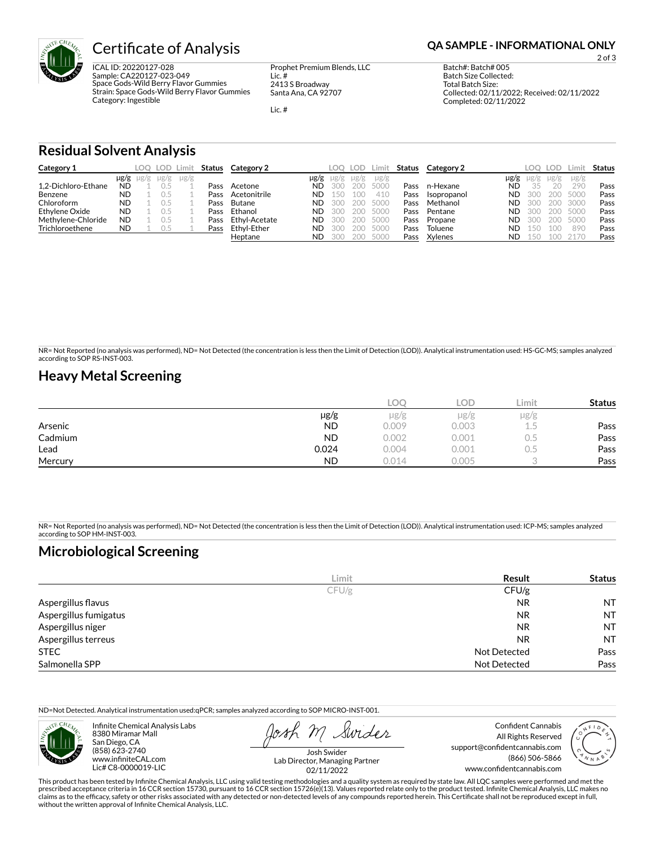

ICAL ID: 20220127-028 Sample: CA220127-023-049 Space Gods-Wild Berry Flavor Gummies Strain: Space Gods-Wild Berry Flavor Gummies Category: Ingestible

Prophet Premium Blends, LLC Lic. # 2413 S Broadway Santa Ana, CA 92707

Lic. #

2 of 3

Batch#: Batch# 005 Batch Size Collected: Total Batch Size: Collected: 02/11/2022; Received: 02/11/2022 Completed: 02/11/2022

### **Residual Solvent Analysis**

| Category 1          |           | LOO.                | LOD -     | ∟imi†     | Status | Category 2    |           | LOO.      | LOD.      | ∟imit     | Status | Category 2  |           | LOO.      | LOD.      | .imi:     | <b>Status</b> |
|---------------------|-----------|---------------------|-----------|-----------|--------|---------------|-----------|-----------|-----------|-----------|--------|-------------|-----------|-----------|-----------|-----------|---------------|
|                     |           | $\mu$ g/g $\mu$ g/g | $\mu$ g/g | $\mu$ g/g |        |               | $\mu$ g/g | $\mu$ g/g | $\mu$ g/g | $\mu$ g/g |        |             | µg/g      | $\mu$ g/g | $\mu$ g/g | $\mu$ g/g |               |
| 1.2-Dichloro-Ethane | <b>ND</b> |                     |           |           | Pass   | Acetone       | ND.       | 300       | 200       | 5000      | Pass   | n-Hexane    | ND        |           |           | 290       | Pass          |
| Benzene             | <b>ND</b> |                     |           |           | Pass   | Acetonitrile  | ND.       |           | 100       | 410       | Pass   | Isopropanol | <b>ND</b> | 300       | 200       | 5000      | Pass          |
| Chloroform          | <b>ND</b> |                     |           |           | Pass   | Butane        | <b>ND</b> | 300       | 200       | 5000      | Pass   | Methanol    | ND        | 300       | 200       | 3000      | Pass          |
| Ethylene Oxide      | <b>ND</b> |                     |           |           | Pass   | Ethanol       | ND.       | 30C       | 200       | 5000      | Pass   | Pentane     | ND        | 300       | 200       | 5000      | Pass          |
| Methylene-Chloride  | <b>ND</b> |                     |           |           | Pass   | Ethvl-Acetate | <b>ND</b> |           | 200       | 5000      | Pass   | Propane     | ND        | 300       |           | 5000      | Pass          |
| Trichloroethene     | <b>ND</b> |                     |           |           | Pass   | Ethvl-Ether   | <b>ND</b> | 300       | 200       | 500C      | Pass   | Toluene     | ND        | 50        |           | 890       | Pass          |
|                     |           |                     |           |           |        | Heptane       | <b>ND</b> |           | 200       | 5000      | Pass   | Xylenes     | ND        | 15C       |           |           | Pass          |

NR= Not Reported (no analysis was performed), ND= Not Detected (the concentration is less then the Limit of Detection (LOD)). Analytical instrumentation used: HS-GC-MS; samples analyzed according to SOP RS-INST-003.

### **Heavy Metal Screening**

|         |           | COC   | LOD.  | Limit         | <b>Status</b> |
|---------|-----------|-------|-------|---------------|---------------|
|         | $\mu$ g/g | µg/g  | µg/g  | $\mu$ g/g     |               |
| Arsenic | <b>ND</b> | 0.009 | 0.003 | ر ب           | Pass          |
| Cadmium | <b>ND</b> | 0.002 | 0.001 | $\sim$<br>U.5 | Pass          |
| Lead    | 0.024     | 0.004 | 0.001 | U.5           | Pass          |
| Mercury | <b>ND</b> | 0.014 | 0.005 |               | Pass          |

NR= Not Reported (no analysis was performed), ND= Not Detected (the concentration is less then the Limit of Detection (LOD)). Analytical instrumentation used: ICP-MS; samples analyzed according to SOP HM-INST-003.

### **Microbiological Screening**

|                       | Limit | Result              | <b>Status</b> |
|-----------------------|-------|---------------------|---------------|
|                       | CFU/g | CFU/g               |               |
| Aspergillus flavus    |       | <b>NR</b>           | <b>NT</b>     |
| Aspergillus fumigatus |       | <b>NR</b>           | <b>NT</b>     |
| Aspergillus niger     |       | <b>NR</b>           | <b>NT</b>     |
| Aspergillus terreus   |       | <b>NR</b>           | <b>NT</b>     |
| <b>STEC</b>           |       | Not Detected        | Pass          |
| Salmonella SPP        |       | <b>Not Detected</b> | Pass          |

ND=Not Detected. Analytical instrumentation used:qPCR; samples analyzed according to SOP MICRO-INST-001.



Infinite Chemical Analysis Labs 8380 Miramar Mall San Diego, CA (858) 623-2740 www.infiniteCAL.com Lic# C8-0000019-LIC

Swider

Confident Cannabis All Rights Reserved support@confidentcannabis.com (866) 506-5866 www.confidentcannabis.com



Josh Swider Lab Director, Managing Partner 02/11/2022

This product has been tested by Infinite Chemical Analysis, LLC using valid testing methodologies and a quality system as required by state law. All LQC samples were performed and met the prescribed acceptance criteria in 16 CCR section 15730, pursuant to 16 CCR section 15726(e)(13). Values reported relate only to the product tested. Infinite Chemical Analysis, LLC makes no<br>claims as to the efficacy, safety without the written approval of Infinite Chemical Analysis, LLC.